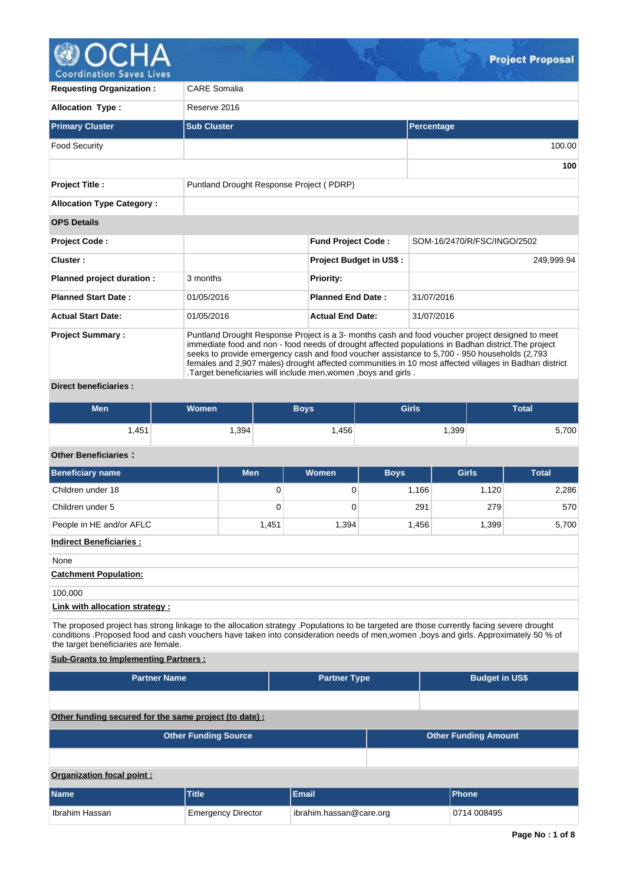

| <b>Requesting Organization:</b>                 | <b>CARE Somalia</b>                                                                                                                                                                                                                                                                                                                                                                                                                                                                |                                          |                             |  |  |  |  |  |  |  |  |
|-------------------------------------------------|------------------------------------------------------------------------------------------------------------------------------------------------------------------------------------------------------------------------------------------------------------------------------------------------------------------------------------------------------------------------------------------------------------------------------------------------------------------------------------|------------------------------------------|-----------------------------|--|--|--|--|--|--|--|--|
| <b>Allocation Type:</b>                         | Reserve 2016                                                                                                                                                                                                                                                                                                                                                                                                                                                                       |                                          |                             |  |  |  |  |  |  |  |  |
| <b>Primary Cluster</b>                          | <b>Sub Cluster</b>                                                                                                                                                                                                                                                                                                                                                                                                                                                                 | <b>Percentage</b>                        |                             |  |  |  |  |  |  |  |  |
| <b>Food Security</b>                            |                                                                                                                                                                                                                                                                                                                                                                                                                                                                                    |                                          | 100.00                      |  |  |  |  |  |  |  |  |
|                                                 |                                                                                                                                                                                                                                                                                                                                                                                                                                                                                    |                                          | 100                         |  |  |  |  |  |  |  |  |
| <b>Project Title:</b>                           |                                                                                                                                                                                                                                                                                                                                                                                                                                                                                    | Puntland Drought Response Project (PDRP) |                             |  |  |  |  |  |  |  |  |
| <b>Allocation Type Category:</b>                |                                                                                                                                                                                                                                                                                                                                                                                                                                                                                    |                                          |                             |  |  |  |  |  |  |  |  |
| <b>OPS Details</b>                              |                                                                                                                                                                                                                                                                                                                                                                                                                                                                                    |                                          |                             |  |  |  |  |  |  |  |  |
| <b>Project Code:</b>                            |                                                                                                                                                                                                                                                                                                                                                                                                                                                                                    | <b>Fund Project Code:</b>                | SOM-16/2470/R/FSC/INGO/2502 |  |  |  |  |  |  |  |  |
| Cluster:                                        |                                                                                                                                                                                                                                                                                                                                                                                                                                                                                    | Project Budget in US\$:                  | 249,999.94                  |  |  |  |  |  |  |  |  |
| Planned project duration :                      | 3 months                                                                                                                                                                                                                                                                                                                                                                                                                                                                           | <b>Priority:</b>                         |                             |  |  |  |  |  |  |  |  |
| <b>Planned Start Date:</b>                      | 01/05/2016                                                                                                                                                                                                                                                                                                                                                                                                                                                                         | <b>Planned End Date:</b>                 | 31/07/2016                  |  |  |  |  |  |  |  |  |
| <b>Actual Start Date:</b>                       | 01/05/2016                                                                                                                                                                                                                                                                                                                                                                                                                                                                         | <b>Actual End Date:</b>                  | 31/07/2016                  |  |  |  |  |  |  |  |  |
| <b>Project Summary:</b><br>Discot konstitutoris | Puntland Drought Response Project is a 3- months cash and food voucher project designed to meet<br>immediate food and non - food needs of drought affected populations in Badhan district. The project<br>seeks to provide emergency cash and food voucher assistance to 5,700 - 950 households (2,793<br>females and 2,907 males) drought affected communities in 10 most affected villages in Badhan district<br>. Target beneficiaries will include men, women, boys and girls. |                                          |                             |  |  |  |  |  |  |  |  |

## **Direct beneficiaries :**

| Men  | <b>Women</b> | Boys | Girls | <b>Total</b> |  |
|------|--------------|------|-------|--------------|--|
| ,451 | 1,394        | .456 | ,399  | 5,700        |  |

# **Other Beneficiaries :**

| <b>Beneficiary name</b>                                                                                                                                                                                                                                                                                                  | <b>Men</b> | Women               | <b>Boys</b> | <b>Girls</b>                | <b>Total</b> |  |  |  |  |  |  |
|--------------------------------------------------------------------------------------------------------------------------------------------------------------------------------------------------------------------------------------------------------------------------------------------------------------------------|------------|---------------------|-------------|-----------------------------|--------------|--|--|--|--|--|--|
| Children under 18                                                                                                                                                                                                                                                                                                        | 0          | 0                   | 1,166       | 1,120                       | 2,286        |  |  |  |  |  |  |
| Children under 5                                                                                                                                                                                                                                                                                                         | 0          | $\Omega$            | 291         | 279                         | 570          |  |  |  |  |  |  |
| People in HE and/or AFLC                                                                                                                                                                                                                                                                                                 | 1,451      | 1,394               | 1,456       | 1,399                       | 5,700        |  |  |  |  |  |  |
| <b>Indirect Beneficiaries:</b>                                                                                                                                                                                                                                                                                           |            |                     |             |                             |              |  |  |  |  |  |  |
| None                                                                                                                                                                                                                                                                                                                     |            |                     |             |                             |              |  |  |  |  |  |  |
| <b>Catchment Population:</b>                                                                                                                                                                                                                                                                                             |            |                     |             |                             |              |  |  |  |  |  |  |
| 100,000                                                                                                                                                                                                                                                                                                                  |            |                     |             |                             |              |  |  |  |  |  |  |
| Link with allocation strategy :                                                                                                                                                                                                                                                                                          |            |                     |             |                             |              |  |  |  |  |  |  |
| The proposed project has strong linkage to the allocation strategy .Populations to be targeted are those currently facing severe drought<br>conditions .Proposed food and cash vouchers have taken into consideration needs of men, women, boys and girls. Approximately 50 % of<br>the target beneficiaries are female. |            |                     |             |                             |              |  |  |  |  |  |  |
| <b>Sub-Grants to Implementing Partners:</b>                                                                                                                                                                                                                                                                              |            |                     |             |                             |              |  |  |  |  |  |  |
| <b>Partner Name</b>                                                                                                                                                                                                                                                                                                      |            | <b>Partner Type</b> |             | <b>Budget in US\$</b>       |              |  |  |  |  |  |  |
|                                                                                                                                                                                                                                                                                                                          |            |                     |             |                             |              |  |  |  |  |  |  |
| Other funding secured for the same project (to date):                                                                                                                                                                                                                                                                    |            |                     |             |                             |              |  |  |  |  |  |  |
| <b>Other Funding Source</b>                                                                                                                                                                                                                                                                                              |            |                     |             | <b>Other Funding Amount</b> |              |  |  |  |  |  |  |
|                                                                                                                                                                                                                                                                                                                          |            |                     |             |                             |              |  |  |  |  |  |  |
| Organization focal point:                                                                                                                                                                                                                                                                                                |            |                     |             |                             |              |  |  |  |  |  |  |
|                                                                                                                                                                                                                                                                                                                          |            |                     |             |                             |              |  |  |  |  |  |  |
| <b>Name</b><br><b>Title</b>                                                                                                                                                                                                                                                                                              |            | <b>Email</b>        |             | <b>Phone</b>                |              |  |  |  |  |  |  |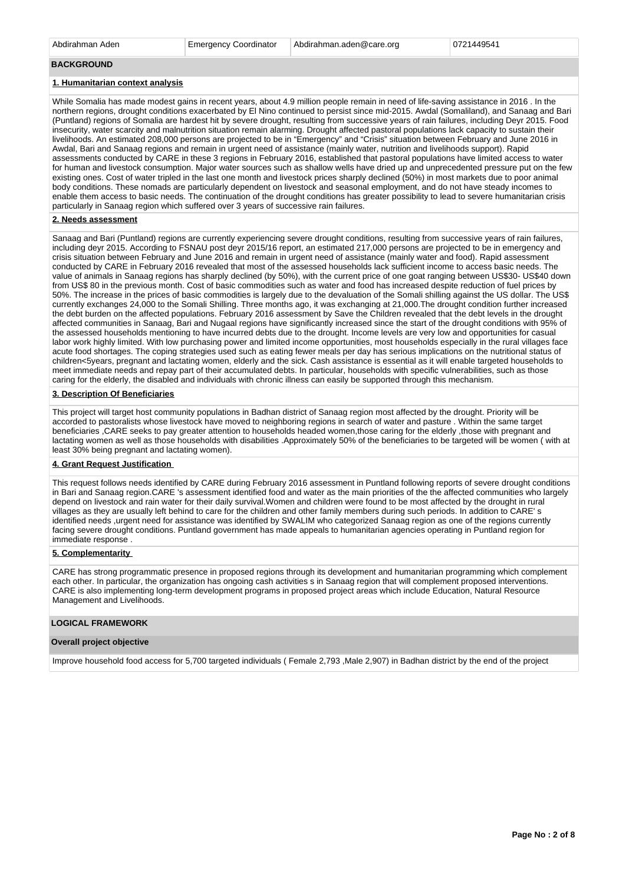Abdirahman Aden Emergency Coordinator Abdirahman.aden@care.org 0721449541

#### **BACKGROUND**

#### **1. Humanitarian context analysis**

While Somalia has made modest gains in recent years, about 4.9 million people remain in need of life-saving assistance in 2016 . In the northern regions, drought conditions exacerbated by El Nino continued to persist since mid-2015. Awdal (Somaliland), and Sanaag and Bari (Puntland) regions of Somalia are hardest hit by severe drought, resulting from successive years of rain failures, including Deyr 2015. Food insecurity, water scarcity and malnutrition situation remain alarming. Drought affected pastoral populations lack capacity to sustain their livelihoods. An estimated 208,000 persons are projected to be in "Emergency" and "Crisis" situation between February and June 2016 in Awdal, Bari and Sanaag regions and remain in urgent need of assistance (mainly water, nutrition and livelihoods support). Rapid assessments conducted by CARE in these 3 regions in February 2016, established that pastoral populations have limited access to water for human and livestock consumption. Major water sources such as shallow wells have dried up and unprecedented pressure put on the few existing ones. Cost of water tripled in the last one month and livestock prices sharply declined (50%) in most markets due to poor animal body conditions. These nomads are particularly dependent on livestock and seasonal employment, and do not have steady incomes to enable them access to basic needs. The continuation of the drought conditions has greater possibility to lead to severe humanitarian crisis particularly in Sanaag region which suffered over 3 years of successive rain failures.

#### **2. Needs assessment**

Sanaag and Bari (Puntland) regions are currently experiencing severe drought conditions, resulting from successive years of rain failures, including deyr 2015. According to FSNAU post deyr 2015/16 report, an estimated 217,000 persons are projected to be in emergency and crisis situation between February and June 2016 and remain in urgent need of assistance (mainly water and food). Rapid assessment conducted by CARE in February 2016 revealed that most of the assessed households lack sufficient income to access basic needs. The value of animals in Sanaag regions has sharply declined (by 50%), with the current price of one goat ranging between US\$30- US\$40 down from US\$ 80 in the previous month. Cost of basic commodities such as water and food has increased despite reduction of fuel prices by 50%. The increase in the prices of basic commodities is largely due to the devaluation of the Somali shilling against the US dollar. The US\$ currently exchanges 24,000 to the Somali Shilling. Three months ago, it was exchanging at 21,000.The drought condition further increased the debt burden on the affected populations. February 2016 assessment by Save the Children revealed that the debt levels in the drought affected communities in Sanaag, Bari and Nugaal regions have significantly increased since the start of the drought conditions with 95% of the assessed households mentioning to have incurred debts due to the drought. Income levels are very low and opportunities for casual labor work highly limited. With low purchasing power and limited income opportunities, most households especially in the rural villages face acute food shortages. The coping strategies used such as eating fewer meals per day has serious implications on the nutritional status of children<5years, pregnant and lactating women, elderly and the sick. Cash assistance is essential as it will enable targeted households to meet immediate needs and repay part of their accumulated debts. In particular, households with specific vulnerabilities, such as those caring for the elderly, the disabled and individuals with chronic illness can easily be supported through this mechanism.

#### **3. Description Of Beneficiaries**

This project will target host community populations in Badhan district of Sanaag region most affected by the drought. Priority will be accorded to pastoralists whose livestock have moved to neighboring regions in search of water and pasture . Within the same target beneficiaries ,CARE seeks to pay greater attention to households headed women,those caring for the elderly ,those with pregnant and lactating women as well as those households with disabilities .Approximately 50% of the beneficiaries to be targeted will be women ( with at least 30% being pregnant and lactating women).

## **4. Grant Request Justification**

This request follows needs identified by CARE during February 2016 assessment in Puntland following reports of severe drought conditions in Bari and Sanaag region.CARE 's assessment identified food and water as the main priorities of the the affected communities who largely depend on livestock and rain water for their daily survival.Women and children were found to be most affected by the drought in rural villages as they are usually left behind to care for the children and other family members during such periods. In addition to CARE' s identified needs ,urgent need for assistance was identified by SWALIM who categorized Sanaag region as one of the regions currently facing severe drought conditions. Puntland government has made appeals to humanitarian agencies operating in Puntland region for immediate response .

#### **5. Complementarity**

CARE has strong programmatic presence in proposed regions through its development and humanitarian programming which complement each other. In particular, the organization has ongoing cash activities s in Sanaag region that will complement proposed interventions. CARE is also implementing long-term development programs in proposed project areas which include Education, Natural Resource Management and Livelihoods.

## **LOGICAL FRAMEWORK**

#### **Overall project objective**

Improve household food access for 5,700 targeted individuals ( Female 2,793 ,Male 2,907) in Badhan district by the end of the project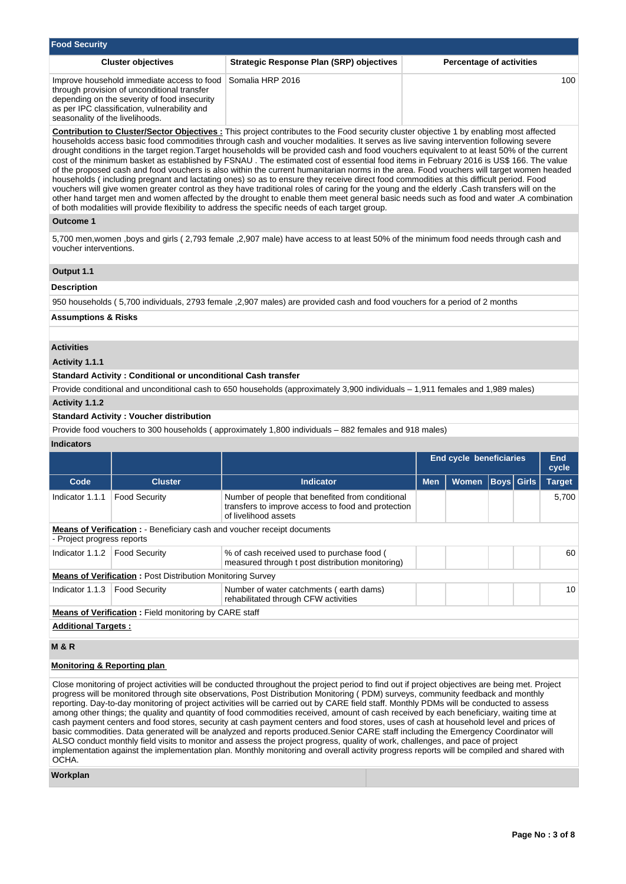| Strategic Response Plan (SRP) objectives<br><b>Cluster objectives</b>                                                                                                                                                                                                                                                                                                                                                                                                                                                                                                                                                                                                                                                                                                                                                                                                                                                                                                                                                                                                                                                                                        |                                                                                                 |  |  |  |  |  |  |  |
|--------------------------------------------------------------------------------------------------------------------------------------------------------------------------------------------------------------------------------------------------------------------------------------------------------------------------------------------------------------------------------------------------------------------------------------------------------------------------------------------------------------------------------------------------------------------------------------------------------------------------------------------------------------------------------------------------------------------------------------------------------------------------------------------------------------------------------------------------------------------------------------------------------------------------------------------------------------------------------------------------------------------------------------------------------------------------------------------------------------------------------------------------------------|-------------------------------------------------------------------------------------------------|--|--|--|--|--|--|--|
| Somalia HRP 2016<br>Improve household immediate access to food<br>through provision of unconditional transfer<br>depending on the severity of food insecurity<br>as per IPC classification, vulnerability and<br>seasonality of the livelihoods.                                                                                                                                                                                                                                                                                                                                                                                                                                                                                                                                                                                                                                                                                                                                                                                                                                                                                                             |                                                                                                 |  |  |  |  |  |  |  |
| <b>Contribution to Cluster/Sector Objectives:</b> This project contributes to the Food security cluster objective 1 by enabling most affected<br>households access basic food commodities through cash and voucher modalities. It serves as live saving intervention following severe<br>drought conditions in the target region. Target households will be provided cash and food vouchers equivalent to at least 50% of the current<br>cost of the minimum basket as established by FSNAU. The estimated cost of essential food items in February 2016 is US\$ 166. The value<br>of the proposed cash and food vouchers is also within the current humanitarian norms in the area. Food vouchers will target women headed<br>households (including pregnant and lactating ones) so as to ensure they receive direct food commodities at this difficult period. Food<br>vouchers will give women greater control as they have traditional roles of caring for the young and the elderly Cash transfers will on the<br>other hand target men and women affected by the drought to enable them meet general basic needs such as food and water .A combination |                                                                                                 |  |  |  |  |  |  |  |
|                                                                                                                                                                                                                                                                                                                                                                                                                                                                                                                                                                                                                                                                                                                                                                                                                                                                                                                                                                                                                                                                                                                                                              |                                                                                                 |  |  |  |  |  |  |  |
| 5,700 men, women, boys and girls (2,793 female ,2,907 male) have access to at least 50% of the minimum food needs through cash and<br>voucher interventions.                                                                                                                                                                                                                                                                                                                                                                                                                                                                                                                                                                                                                                                                                                                                                                                                                                                                                                                                                                                                 |                                                                                                 |  |  |  |  |  |  |  |
|                                                                                                                                                                                                                                                                                                                                                                                                                                                                                                                                                                                                                                                                                                                                                                                                                                                                                                                                                                                                                                                                                                                                                              |                                                                                                 |  |  |  |  |  |  |  |
|                                                                                                                                                                                                                                                                                                                                                                                                                                                                                                                                                                                                                                                                                                                                                                                                                                                                                                                                                                                                                                                                                                                                                              |                                                                                                 |  |  |  |  |  |  |  |
|                                                                                                                                                                                                                                                                                                                                                                                                                                                                                                                                                                                                                                                                                                                                                                                                                                                                                                                                                                                                                                                                                                                                                              | of both modalities will provide flexibility to address the specific needs of each target group. |  |  |  |  |  |  |  |

950 households ( 5,700 individuals, 2793 female ,2,907 males) are provided cash and food vouchers for a period of 2 months

# **Assumptions & Risks**

#### **Activities**

**Activity 1.1.1** 

## **Standard Activity : Conditional or unconditional Cash transfer**

Provide conditional and unconditional cash to 650 households (approximately 3,900 individuals – 1,911 females and 1,989 males)

## **Activity 1.1.2**

## **Standard Activity : Voucher distribution**

Provide food vouchers to 300 households ( approximately 1,800 individuals – 882 females and 918 males)

# **Indicators**

|                                                                                                               |                                                                   |                                                                                                                                | <b>End cycle beneficiaries</b> | <b>End</b><br>cycle |  |                   |               |  |  |  |  |
|---------------------------------------------------------------------------------------------------------------|-------------------------------------------------------------------|--------------------------------------------------------------------------------------------------------------------------------|--------------------------------|---------------------|--|-------------------|---------------|--|--|--|--|
| Code                                                                                                          | <b>Cluster</b>                                                    | <b>Indicator</b>                                                                                                               | <b>Men</b><br><b>Women</b>     |                     |  | <b>Boys Girls</b> | <b>Target</b> |  |  |  |  |
| Indicator 1.1.1                                                                                               | <b>Food Security</b>                                              | Number of people that benefited from conditional<br>transfers to improve access to food and protection<br>of livelihood assets |                                |                     |  |                   | 5,700         |  |  |  |  |
| <b>Means of Verification :</b> - Beneficiary cash and voucher receipt documents<br>- Project progress reports |                                                                   |                                                                                                                                |                                |                     |  |                   |               |  |  |  |  |
| Indicator 1.1.2   Food Security                                                                               |                                                                   | % of cash received used to purchase food (<br>measured through t post distribution monitoring)                                 |                                |                     |  |                   | 60            |  |  |  |  |
|                                                                                                               | <b>Means of Verification: Post Distribution Monitoring Survey</b> |                                                                                                                                |                                |                     |  |                   |               |  |  |  |  |
| Indicator $1.1.3$                                                                                             | <b>Food Security</b>                                              | Number of water catchments (earth dams)<br>rehabilitated through CFW activities                                                |                                |                     |  |                   | 10            |  |  |  |  |
| <b>Means of Verification:</b> Field monitoring by CARE staff                                                  |                                                                   |                                                                                                                                |                                |                     |  |                   |               |  |  |  |  |
| <b>Additional Targets:</b>                                                                                    |                                                                   |                                                                                                                                |                                |                     |  |                   |               |  |  |  |  |
| <b>M&amp;R</b>                                                                                                |                                                                   |                                                                                                                                |                                |                     |  |                   |               |  |  |  |  |

#### **Monitoring & Reporting plan**

Close monitoring of project activities will be conducted throughout the project period to find out if project objectives are being met. Project progress will be monitored through site observations, Post Distribution Monitoring ( PDM) surveys, community feedback and monthly reporting. Day-to-day monitoring of project activities will be carried out by CARE field staff. Monthly PDMs will be conducted to assess among other things; the quality and quantity of food commodities received, amount of cash received by each beneficiary, waiting time at cash payment centers and food stores, security at cash payment centers and food stores, uses of cash at household level and prices of basic commodities. Data generated will be analyzed and reports produced.Senior CARE staff including the Emergency Coordinator will ALSO conduct monthly field visits to monitor and assess the project progress, quality of work, challenges, and pace of project implementation against the implementation plan. Monthly monitoring and overall activity progress reports will be compiled and shared with OCHA.

## **Workplan**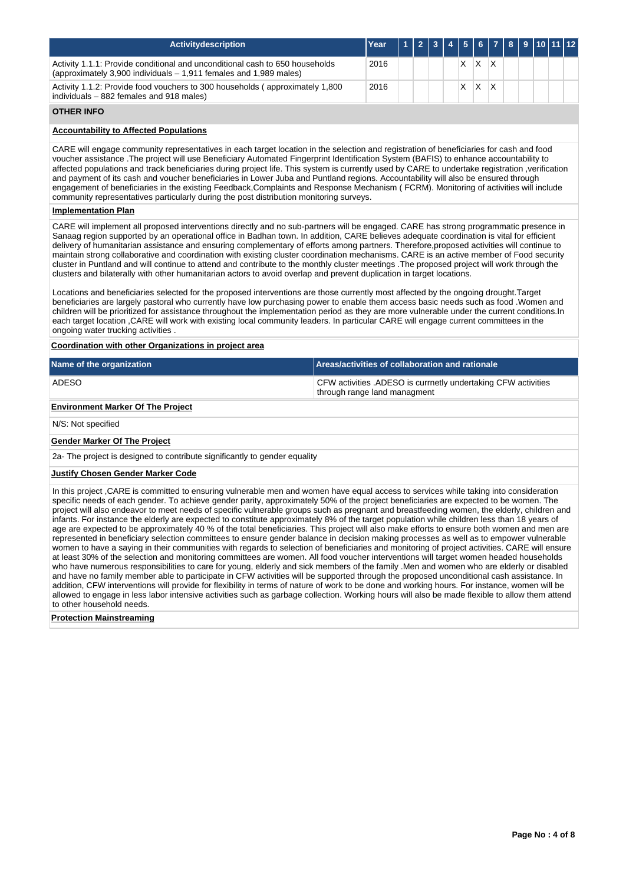| <b>Activitydescription</b>                                                                                                                        | Year |  |  |   |  |  | 1 2 3 4 5 6 7 8 9 10 11 12 |
|---------------------------------------------------------------------------------------------------------------------------------------------------|------|--|--|---|--|--|----------------------------|
| Activity 1.1.1: Provide conditional and unconditional cash to 650 households<br>(approximately 3,900 individuals – 1,911 females and 1,989 males) | 2016 |  |  | X |  |  |                            |
| Activity 1.1.2: Provide food vouchers to 300 households (approximately 1,800<br>individuals – 882 females and 918 males)                          | 2016 |  |  | х |  |  |                            |

# **OTHER INFO**

## **Accountability to Affected Populations**

CARE will engage community representatives in each target location in the selection and registration of beneficiaries for cash and food voucher assistance .The project will use Beneficiary Automated Fingerprint Identification System (BAFIS) to enhance accountability to affected populations and track beneficiaries during project life. This system is currently used by CARE to undertake registration ,verification and payment of its cash and voucher beneficiaries in Lower Juba and Puntland regions. Accountability will also be ensured through engagement of beneficiaries in the existing Feedback,Complaints and Response Mechanism ( FCRM). Monitoring of activities will include community representatives particularly during the post distribution monitoring surveys.

## **Implementation Plan**

CARE will implement all proposed interventions directly and no sub-partners will be engaged. CARE has strong programmatic presence in Sanaag region supported by an operational office in Badhan town. In addition, CARE believes adequate coordination is vital for efficient delivery of humanitarian assistance and ensuring complementary of efforts among partners. Therefore,proposed activities will continue to maintain strong collaborative and coordination with existing cluster coordination mechanisms. CARE is an active member of Food security cluster in Puntland and will continue to attend and contribute to the monthly cluster meetings .The proposed project will work through the clusters and bilaterally with other humanitarian actors to avoid overlap and prevent duplication in target locations.

Locations and beneficiaries selected for the proposed interventions are those currently most affected by the ongoing drought.Target beneficiaries are largely pastoral who currently have low purchasing power to enable them access basic needs such as food .Women and children will be prioritized for assistance throughout the implementation period as they are more vulnerable under the current conditions.In each target location ,CARE will work with existing local community leaders. In particular CARE will engage current committees in the ongoing water trucking activities .

# **Coordination with other Organizations in project area**

| Name of the organization                                                                                                                                                                                                                                                                                                                                                                                                                                                                                                                                                                                                                                                                                                  | Areas/activities of collaboration and rationale                                               |  |  |  |  |  |  |  |  |
|---------------------------------------------------------------------------------------------------------------------------------------------------------------------------------------------------------------------------------------------------------------------------------------------------------------------------------------------------------------------------------------------------------------------------------------------------------------------------------------------------------------------------------------------------------------------------------------------------------------------------------------------------------------------------------------------------------------------------|-----------------------------------------------------------------------------------------------|--|--|--|--|--|--|--|--|
| ADESO                                                                                                                                                                                                                                                                                                                                                                                                                                                                                                                                                                                                                                                                                                                     | CFW activities .ADESO is currnetly undertaking CFW activities<br>through range land managment |  |  |  |  |  |  |  |  |
| <b>Environment Marker Of The Project</b>                                                                                                                                                                                                                                                                                                                                                                                                                                                                                                                                                                                                                                                                                  |                                                                                               |  |  |  |  |  |  |  |  |
| N/S: Not specified                                                                                                                                                                                                                                                                                                                                                                                                                                                                                                                                                                                                                                                                                                        |                                                                                               |  |  |  |  |  |  |  |  |
| <b>Gender Marker Of The Project</b>                                                                                                                                                                                                                                                                                                                                                                                                                                                                                                                                                                                                                                                                                       |                                                                                               |  |  |  |  |  |  |  |  |
| 2a- The project is designed to contribute significantly to gender equality                                                                                                                                                                                                                                                                                                                                                                                                                                                                                                                                                                                                                                                |                                                                                               |  |  |  |  |  |  |  |  |
| <b>Justify Chosen Gender Marker Code</b>                                                                                                                                                                                                                                                                                                                                                                                                                                                                                                                                                                                                                                                                                  |                                                                                               |  |  |  |  |  |  |  |  |
| In this project, CARE is committed to ensuring vulnerable men and women have equal access to services while taking into consideration<br>specific needs of each gender. To achieve gender parity, approximately 50% of the project beneficiaries are expected to be women. The<br>project will also endeavor to meet needs of specific vulnerable groups such as pregnant and breastfeeding women, the elderly, children and<br>infants. For instance the elderly are expected to constitute approximately 8% of the target population while children less than 18 years of<br>age are expected to be approximately 40 % of the total beneficiaries. This project will also make efforts to ensure both women and men are |                                                                                               |  |  |  |  |  |  |  |  |

represented in beneficiary selection committees to ensure gender balance in decision making processes as well as to empower vulnerable women to have a saying in their communities with regards to selection of beneficiaries and monitoring of project activities. CARE will ensure at least 30% of the selection and monitoring committees are women. All food voucher interventions will target women headed households who have numerous responsibilities to care for young, elderly and sick members of the family .Men and women who are elderly or disabled and have no family member able to participate in CFW activities will be supported through the proposed unconditional cash assistance. In addition, CFW interventions will provide for flexibility in terms of nature of work to be done and working hours. For instance, women will be allowed to engage in less labor intensive activities such as garbage collection. Working hours will also be made flexible to allow them attend to other household needs.

#### **Protection Mainstreaming**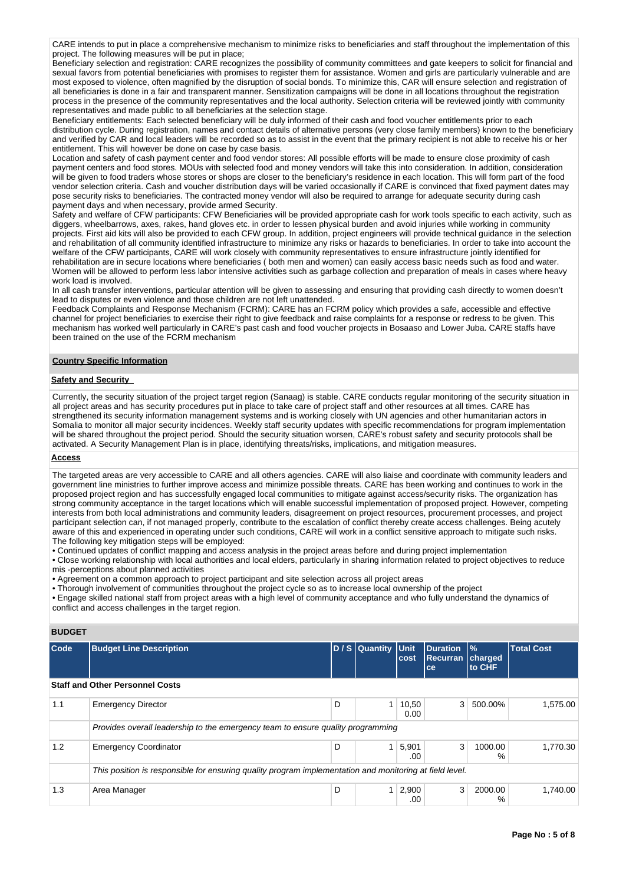CARE intends to put in place a comprehensive mechanism to minimize risks to beneficiaries and staff throughout the implementation of this project. The following measures will be put in place;

Beneficiary selection and registration: CARE recognizes the possibility of community committees and gate keepers to solicit for financial and sexual favors from potential beneficiaries with promises to register them for assistance. Women and girls are particularly vulnerable and are most exposed to violence, often magnified by the disruption of social bonds. To minimize this, CAR will ensure selection and registration of all beneficiaries is done in a fair and transparent manner. Sensitization campaigns will be done in all locations throughout the registration process in the presence of the community representatives and the local authority. Selection criteria will be reviewed jointly with community representatives and made public to all beneficiaries at the selection stage.

Beneficiary entitlements: Each selected beneficiary will be duly informed of their cash and food voucher entitlements prior to each distribution cycle. During registration, names and contact details of alternative persons (very close family members) known to the beneficiary and verified by CAR and local leaders will be recorded so as to assist in the event that the primary recipient is not able to receive his or her entitlement. This will however be done on case by case basis.

Location and safety of cash payment center and food vendor stores: All possible efforts will be made to ensure close proximity of cash payment centers and food stores. MOUs with selected food and money vendors will take this into consideration. In addition, consideration will be given to food traders whose stores or shops are closer to the beneficiary's residence in each location. This will form part of the food vendor selection criteria. Cash and voucher distribution days will be varied occasionally if CARE is convinced that fixed payment dates may pose security risks to beneficiaries. The contracted money vendor will also be required to arrange for adequate security during cash payment days and when necessary, provide armed Security.

Safety and welfare of CFW participants: CFW Beneficiaries will be provided appropriate cash for work tools specific to each activity, such as diggers, wheelbarrows, axes, rakes, hand gloves etc. in order to lessen physical burden and avoid injuries while working in community projects. First aid kits will also be provided to each CFW group. In addition, project engineers will provide technical guidance in the selection and rehabilitation of all community identified infrastructure to minimize any risks or hazards to beneficiaries. In order to take into account the welfare of the CFW participants, CARE will work closely with community representatives to ensure infrastructure jointly identified for rehabilitation are in secure locations where beneficiaries ( both men and women) can easily access basic needs such as food and water. Women will be allowed to perform less labor intensive activities such as garbage collection and preparation of meals in cases where heavy work load is involved.

In all cash transfer interventions, particular attention will be given to assessing and ensuring that providing cash directly to women doesn't lead to disputes or even violence and those children are not left unattended.

Feedback Complaints and Response Mechanism (FCRM): CARE has an FCRM policy which provides a safe, accessible and effective channel for project beneficiaries to exercise their right to give feedback and raise complaints for a response or redress to be given. This mechanism has worked well particularly in CARE's past cash and food voucher projects in Bosaaso and Lower Juba. CARE staffs have been trained on the use of the FCRM mechanism

## **Country Specific Information**

#### **Safety and Security**

Currently, the security situation of the project target region (Sanaag) is stable. CARE conducts regular monitoring of the security situation in all project areas and has security procedures put in place to take care of project staff and other resources at all times. CARE has strengthened its security information management systems and is working closely with UN agencies and other humanitarian actors in Somalia to monitor all major security incidences. Weekly staff security updates with specific recommendations for program implementation will be shared throughout the project period. Should the security situation worsen, CARE's robust safety and security protocols shall be activated. A Security Management Plan is in place, identifying threats/risks, implications, and mitigation measures.

#### **Access**

The targeted areas are very accessible to CARE and all others agencies. CARE will also liaise and coordinate with community leaders and government line ministries to further improve access and minimize possible threats. CARE has been working and continues to work in the proposed project region and has successfully engaged local communities to mitigate against access/security risks. The organization has strong community acceptance in the target locations which will enable successful implementation of proposed project. However, competing interests from both local administrations and community leaders, disagreement on project resources, procurement processes, and project participant selection can, if not managed properly, contribute to the escalation of conflict thereby create access challenges. Being acutely aware of this and experienced in operating under such conditions, CARE will work in a conflict sensitive approach to mitigate such risks. The following key mitigation steps will be employed:

• Continued updates of conflict mapping and access analysis in the project areas before and during project implementation • Close working relationship with local authorities and local elders, particularly in sharing information related to project objectives to reduce

mis -perceptions about planned activities

• Agreement on a common approach to project participant and site selection across all project areas

• Thorough involvement of communities throughout the project cycle so as to increase local ownership of the project

• Engage skilled national staff from project areas with a high level of community acceptance and who fully understand the dynamics of conflict and access challenges in the target region.

## **BUDGET**

| <b>Code</b> | <b>Budget Line Description</b>                                                                          |   | D / S Quantity Unit | cost          | <b>Duration</b><br>Recurran<br>ce | $\frac{9}{6}$<br>charged<br>to CHF | <b>Total Cost</b> |  |
|-------------|---------------------------------------------------------------------------------------------------------|---|---------------------|---------------|-----------------------------------|------------------------------------|-------------------|--|
|             | <b>Staff and Other Personnel Costs</b>                                                                  |   |                     |               |                                   |                                    |                   |  |
| 1.1         | <b>Emergency Director</b>                                                                               | D |                     | 10,50<br>0.00 | 3                                 | 500.00%                            | 1.575.00          |  |
|             | Provides overall leadership to the emergency team to ensure quality programming                         |   |                     |               |                                   |                                    |                   |  |
| 1.2         | <b>Emergency Coordinator</b>                                                                            | D |                     | 5,901<br>.00  | 3                                 | 1000.00<br>$\%$                    | 1.770.30          |  |
|             | This position is responsible for ensuring quality program implementation and monitoring at field level. |   |                     |               |                                   |                                    |                   |  |
| 1.3         | Area Manager                                                                                            | D |                     | 2,900<br>.00  | 3                                 | 2000.00<br>%                       | 1.740.00          |  |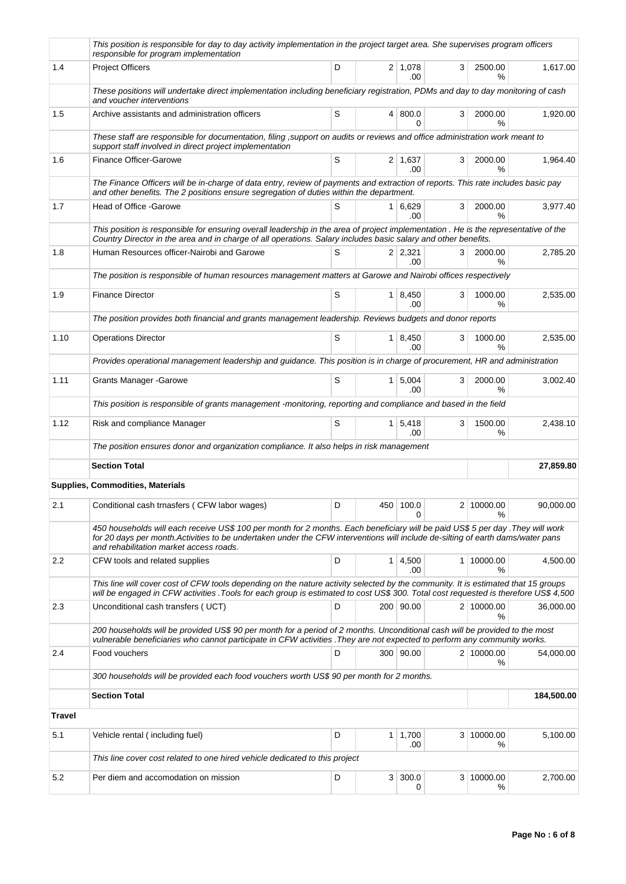|               | This position is responsible for day to day activity implementation in the project target area. She supervises program officers<br>responsible for program implementation                                                                                                                                    |   |                           |   |                          |            |
|---------------|--------------------------------------------------------------------------------------------------------------------------------------------------------------------------------------------------------------------------------------------------------------------------------------------------------------|---|---------------------------|---|--------------------------|------------|
| 1.4           | <b>Project Officers</b>                                                                                                                                                                                                                                                                                      | D | $2 \mid 1,078$<br>.00     | 3 | 2500.00<br>%             | 1,617.00   |
|               | These positions will undertake direct implementation including beneficiary registration, PDMs and day to day monitoring of cash<br>and voucher interventions                                                                                                                                                 |   |                           |   |                          |            |
| 1.5           | Archive assistants and administration officers                                                                                                                                                                                                                                                               | S | 4   800.0<br>0            | 3 | 2000.00<br>%             | 1,920.00   |
|               | These staff are responsible for documentation, filing , support on audits or reviews and office administration work meant to<br>support staff involved in direct project implementation                                                                                                                      |   |                           |   |                          |            |
| 1.6           | <b>Finance Officer-Garowe</b>                                                                                                                                                                                                                                                                                | S | $2 \mid 1,637$<br>.00     | 3 | 2000.00<br>%             | 1,964.40   |
|               | The Finance Officers will be in-charge of data entry, review of payments and extraction of reports. This rate includes basic pay<br>and other benefits. The 2 positions ensure segregation of duties within the department.                                                                                  |   |                           |   |                          |            |
| 1.7           | Head of Office -Garowe                                                                                                                                                                                                                                                                                       | S | 1 6,629<br>.00            | 3 | 2000.00<br>%             | 3,977.40   |
|               | This position is responsible for ensuring overall leadership in the area of project implementation . He is the representative of the<br>Country Director in the area and in charge of all operations. Salary includes basic salary and other benefits.                                                       |   |                           |   |                          |            |
| 1.8           | Human Resources officer-Nairobi and Garowe                                                                                                                                                                                                                                                                   | S | $2 \mid 2,321$<br>.00     | 3 | 2000.00<br>℅             | 2,785.20   |
|               | The position is responsible of human resources management matters at Garowe and Nairobi offices respectively                                                                                                                                                                                                 |   |                           |   |                          |            |
| 1.9           | <b>Finance Director</b>                                                                                                                                                                                                                                                                                      | S | 1   8,450<br>.00          | 3 | 1000.00<br>℅             | 2,535.00   |
|               | The position provides both financial and grants management leadership. Reviews budgets and donor reports                                                                                                                                                                                                     |   |                           |   |                          |            |
| 1.10          | <b>Operations Director</b>                                                                                                                                                                                                                                                                                   | S | $1 \,   \, 8,450$<br>.00. | 3 | 1000.00<br>$\frac{9}{6}$ | 2,535.00   |
|               | Provides operational management leadership and guidance. This position is in charge of procurement, HR and administration                                                                                                                                                                                    |   |                           |   |                          |            |
| 1.11          | <b>Grants Manager - Garowe</b>                                                                                                                                                                                                                                                                               | S | $1 \mid 5,004$<br>.00     | 3 | 2000.00<br>℅             | 3,002.40   |
|               | This position is responsible of grants management -monitoring, reporting and compliance and based in the field                                                                                                                                                                                               |   |                           |   |                          |            |
| 1.12          | Risk and compliance Manager                                                                                                                                                                                                                                                                                  | S | $1 \mid 5,418$<br>.00     | 3 | 1500.00<br>%             | 2,438.10   |
|               | The position ensures donor and organization compliance. It also helps in risk management                                                                                                                                                                                                                     |   |                           |   |                          |            |
|               | <b>Section Total</b>                                                                                                                                                                                                                                                                                         |   |                           |   |                          | 27,859.80  |
|               | <b>Supplies, Commodities, Materials</b>                                                                                                                                                                                                                                                                      |   |                           |   |                          |            |
| 2.1           | Conditional cash trnasfers (CFW labor wages)                                                                                                                                                                                                                                                                 | D | 450 100.0<br>0            |   | 2 10000.00<br>%          | 90,000.00  |
|               | 450 households will each receive US\$ 100 per month for 2 months. Each beneficiary will be paid US\$ 5 per day .They will work<br>for 20 days per month. Activities to be undertaken under the CFW interventions will include de-silting of earth dams/water pans<br>and rehabilitation market access roads. |   |                           |   |                          |            |
| 2.2           | CFW tools and related supplies                                                                                                                                                                                                                                                                               | D | $1 \mid 4,500$<br>.00     |   | 1 10000.00<br>%          | 4,500.00   |
|               | This line will cover cost of CFW tools depending on the nature activity selected by the community. It is estimated that 15 groups<br>will be engaged in CFW activities .Tools for each group is estimated to cost US\$ 300. Total cost requested is therefore US\$ 4,500                                     |   |                           |   |                          |            |
| 2.3           | Unconditional cash transfers (UCT)                                                                                                                                                                                                                                                                           | D | 200 90.00                 |   | 2 10000.00<br>%          | 36,000.00  |
|               | 200 households will be provided US\$ 90 per month for a period of 2 months. Unconditional cash will be provided to the most<br>vulnerable beneficiaries who cannot participate in CFW activities . They are not expected to perform any community works.                                                     |   |                           |   |                          |            |
| 2.4           | Food vouchers                                                                                                                                                                                                                                                                                                | D | 300 90.00                 |   | 2 10000.00<br>%          | 54,000.00  |
|               | 300 households will be provided each food vouchers worth US\$ 90 per month for 2 months.                                                                                                                                                                                                                     |   |                           |   |                          |            |
|               | <b>Section Total</b>                                                                                                                                                                                                                                                                                         |   |                           |   |                          | 184,500.00 |
| <b>Travel</b> |                                                                                                                                                                                                                                                                                                              |   |                           |   |                          |            |
| 5.1           | Vehicle rental (including fuel)                                                                                                                                                                                                                                                                              | D | $1 \mid 1,700$<br>.00     |   | 3 10000.00<br>%          | 5,100.00   |
|               | This line cover cost related to one hired vehicle dedicated to this project                                                                                                                                                                                                                                  |   |                           |   |                          |            |
| 5.2           | Per diem and accomodation on mission                                                                                                                                                                                                                                                                         | D | 3   300.0<br>0            |   | 3 10000.00<br>%          | 2,700.00   |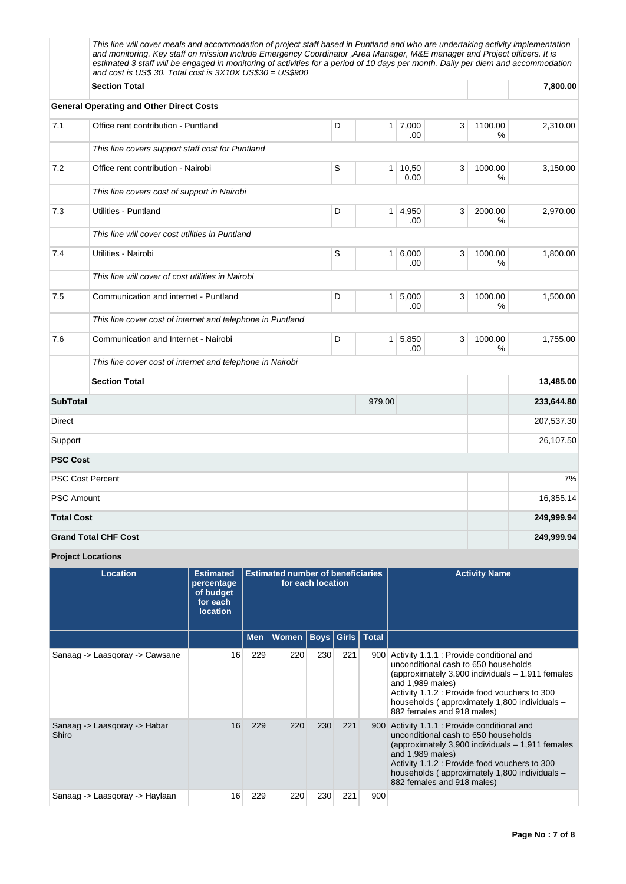|                         | This line will cover meals and accommodation of project staff based in Puntland and who are undertaking activity implementation<br>and monitoring. Key staff on mission include Emergency Coordinator ,Area Manager, M&E manager and Project officers. It is<br>estimated 3 staff will be engaged in monitoring of activities for a period of 10 days per month. Daily per diem and accommodation<br>and cost is US\$ 30. Total cost is 3X10X US\$30 = US\$900 |   |                |               |   |                 |            |
|-------------------------|----------------------------------------------------------------------------------------------------------------------------------------------------------------------------------------------------------------------------------------------------------------------------------------------------------------------------------------------------------------------------------------------------------------------------------------------------------------|---|----------------|---------------|---|-----------------|------------|
|                         | <b>Section Total</b>                                                                                                                                                                                                                                                                                                                                                                                                                                           |   |                |               |   |                 | 7,800.00   |
|                         | <b>General Operating and Other Direct Costs</b>                                                                                                                                                                                                                                                                                                                                                                                                                |   |                |               |   |                 |            |
| 7.1                     | Office rent contribution - Puntland                                                                                                                                                                                                                                                                                                                                                                                                                            | D | 1 <sup>1</sup> | 7,000<br>.00  | 3 | 1100.00<br>%    | 2,310.00   |
|                         | This line covers support staff cost for Puntland                                                                                                                                                                                                                                                                                                                                                                                                               |   |                |               |   |                 |            |
| 7.2                     | Office rent contribution - Nairobi                                                                                                                                                                                                                                                                                                                                                                                                                             | S | $\mathbf{1}$   | 10,50<br>0.00 | 3 | 1000.00<br>%    | 3,150.00   |
|                         | This line covers cost of support in Nairobi                                                                                                                                                                                                                                                                                                                                                                                                                    |   |                |               |   |                 |            |
| 7.3                     | Utilities - Puntland                                                                                                                                                                                                                                                                                                                                                                                                                                           | D | $\mathbf{1}$   | 4,950<br>.00  | 3 | 2000.00<br>%    | 2,970.00   |
|                         | This line will cover cost utilities in Puntland                                                                                                                                                                                                                                                                                                                                                                                                                |   |                |               |   |                 |            |
| 7.4                     | Utilities - Nairobi                                                                                                                                                                                                                                                                                                                                                                                                                                            | S | $\mathbf{1}$   | 6,000<br>.00  | 3 | 1000.00<br>$\%$ | 1,800.00   |
|                         | This line will cover of cost utilities in Nairobi                                                                                                                                                                                                                                                                                                                                                                                                              |   |                |               |   |                 |            |
| 7.5                     | Communication and internet - Puntland                                                                                                                                                                                                                                                                                                                                                                                                                          | D | $\mathbf{1}$   | 5,000<br>.00  | 3 | 1000.00<br>%    | 1,500.00   |
|                         | This line cover cost of internet and telephone in Puntland                                                                                                                                                                                                                                                                                                                                                                                                     |   |                |               |   |                 |            |
| 7.6                     | Communication and Internet - Nairobi                                                                                                                                                                                                                                                                                                                                                                                                                           | D | 1 <sup>1</sup> | 5,850<br>.00  | 3 | 1000.00<br>%    | 1,755.00   |
|                         | This line cover cost of internet and telephone in Nairobi                                                                                                                                                                                                                                                                                                                                                                                                      |   |                |               |   |                 |            |
|                         | <b>Section Total</b>                                                                                                                                                                                                                                                                                                                                                                                                                                           |   |                |               |   |                 | 13,485.00  |
| <b>SubTotal</b>         |                                                                                                                                                                                                                                                                                                                                                                                                                                                                |   | 979.00         |               |   |                 | 233,644.80 |
| Direct                  |                                                                                                                                                                                                                                                                                                                                                                                                                                                                |   |                |               |   |                 | 207,537.30 |
| Support                 |                                                                                                                                                                                                                                                                                                                                                                                                                                                                |   |                |               |   |                 | 26,107.50  |
| <b>PSC Cost</b>         |                                                                                                                                                                                                                                                                                                                                                                                                                                                                |   |                |               |   |                 |            |
| <b>PSC Cost Percent</b> |                                                                                                                                                                                                                                                                                                                                                                                                                                                                |   |                |               |   |                 | 7%         |
| <b>PSC Amount</b>       |                                                                                                                                                                                                                                                                                                                                                                                                                                                                |   |                |               |   |                 | 16,355.14  |
| <b>Total Cost</b>       |                                                                                                                                                                                                                                                                                                                                                                                                                                                                |   |                |               |   |                 | 249,999.94 |
|                         | <b>Grand Total CHF Cost</b>                                                                                                                                                                                                                                                                                                                                                                                                                                    |   |                |               |   |                 | 249,999.94 |

**Project Locations**

| Location                              | <b>Estimated</b><br>percentage<br>of budget<br>for each<br><b>location</b> |            | <b>Estimated number of beneficiaries</b> | for each location    |     |     | <b>Activity Name</b>                                                                                                                                                                                                                                                                      |
|---------------------------------------|----------------------------------------------------------------------------|------------|------------------------------------------|----------------------|-----|-----|-------------------------------------------------------------------------------------------------------------------------------------------------------------------------------------------------------------------------------------------------------------------------------------------|
|                                       |                                                                            | <b>Men</b> | Women                                    | Boys   Girls   Total |     |     |                                                                                                                                                                                                                                                                                           |
| Sanaag -> Laasgoray -> Cawsane        | 16                                                                         | 229        | 220                                      | 230                  | 221 | 900 | Activity 1.1.1 : Provide conditional and<br>unconditional cash to 650 households<br>(approximately 3,900 individuals - 1,911 females<br>and 1,989 males)<br>Activity 1.1.2 : Provide food vouchers to 300<br>households (approximately 1,800 individuals -<br>882 females and 918 males)  |
| Sanaag -> Laasgoray -> Habar<br>Shiro | 16                                                                         | 229        | 220                                      | 230                  | 221 | 900 | Activity 1.1.1 : Provide conditional and<br>unconditional cash to 650 households<br>(approximately 3,900 individuals $-1,911$ females<br>and 1,989 males)<br>Activity 1.1.2 : Provide food vouchers to 300<br>households (approximately 1,800 individuals -<br>882 females and 918 males) |
| Sanaag -> Laasqoray -> Haylaan        | 16                                                                         | 229        | 220                                      | 230                  | 221 | 900 |                                                                                                                                                                                                                                                                                           |